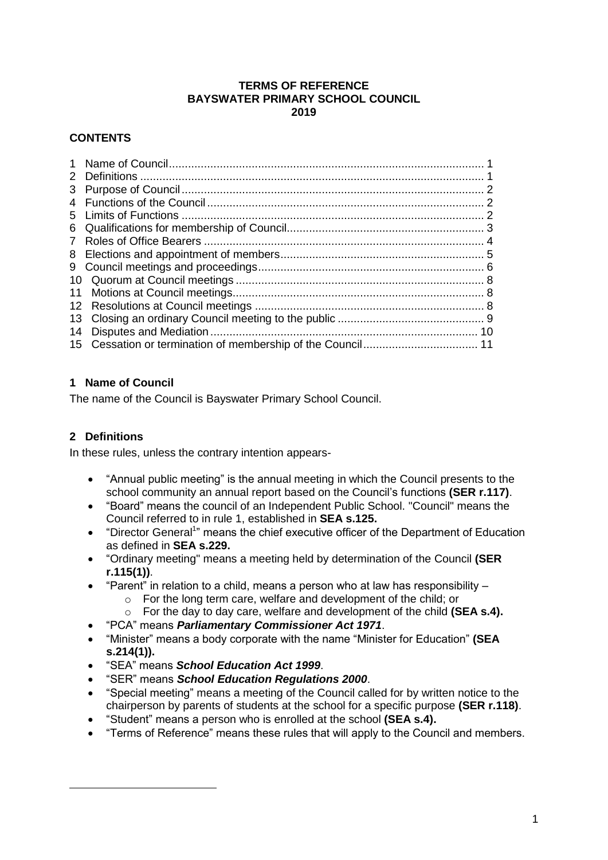#### **TERMS OF REFERENCE BAYSWATER PRIMARY SCHOOL COUNCIL 2019**

# **CONTENTS**

# <span id="page-0-0"></span>**1 Name of Council**

The name of the Council is Bayswater Primary School Council.

# <span id="page-0-1"></span>**2 Definitions**

In these rules, unless the contrary intention appears-

- "Annual public meeting" is the annual meeting in which the Council presents to the school community an annual report based on the Council's functions **(SER r.117)**.
- "Board" means the council of an Independent Public School. "Council" means the Council referred to in rule 1, established in **SEA s.125.**
- "Director General<sup>1</sup>" means the chief executive officer of the Department of Education as defined in **SEA s.229.**
- "Ordinary meeting" means a meeting held by determination of the Council **(SER r.115(1))**.
- "Parent" in relation to a child, means a person who at law has responsibility
	- o For the long term care, welfare and development of the child; or
	- o For the day to day care, welfare and development of the child **(SEA s.4).**
- "PCA" means *Parliamentary Commissioner Act 1971*.
- "Minister" means a body corporate with the name "Minister for Education" **(SEA s.214(1)).**
- "SEA" means *School Education Act 1999*.
- "SER" means *School Education Regulations 2000*.
- "Special meeting" means a meeting of the Council called for by written notice to the chairperson by parents of students at the school for a specific purpose **(SER r.118)**.
- "Student" means a person who is enrolled at the school **(SEA s.4).**
- "Terms of Reference" means these rules that will apply to the Council and members.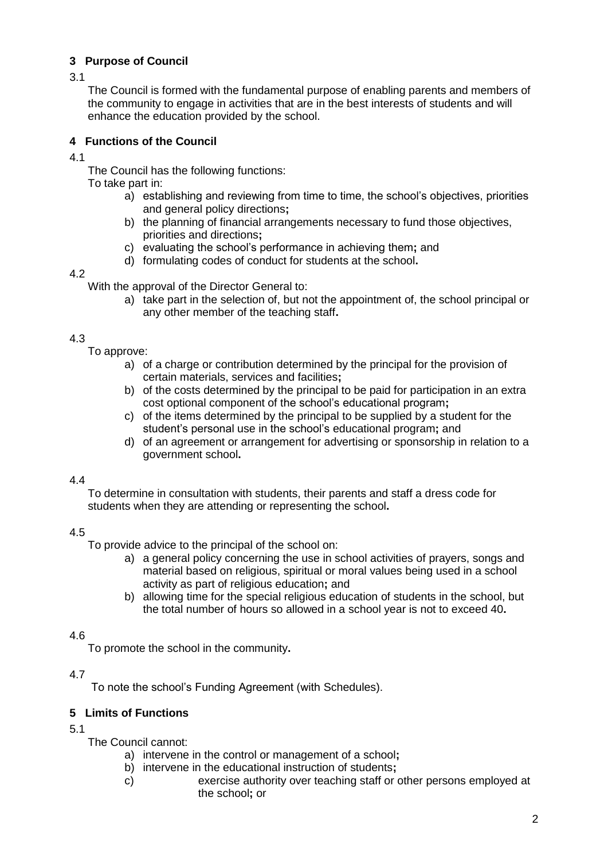# <span id="page-1-0"></span>**3 Purpose of Council**

3.1

The Council is formed with the fundamental purpose of enabling parents and members of the community to engage in activities that are in the best interests of students and will enhance the education provided by the school.

# <span id="page-1-1"></span>**4 Functions of the Council**

4.1

The Council has the following functions:

To take part in:

- a) establishing and reviewing from time to time, the school's objectives, priorities and general policy directions**;**
- b) the planning of financial arrangements necessary to fund those objectives, priorities and directions**;**
- c) evaluating the school's performance in achieving them**;** and
- d) formulating codes of conduct for students at the school**.**

### 4.2

With the approval of the Director General to:

a) take part in the selection of, but not the appointment of, the school principal or any other member of the teaching staff**.**

# 4.3

To approve:

- a) of a charge or contribution determined by the principal for the provision of certain materials, services and facilities**;**
- b) of the costs determined by the principal to be paid for participation in an extra cost optional component of the school's educational program**;**
- c) of the items determined by the principal to be supplied by a student for the student's personal use in the school's educational program**;** and
- d) of an agreement or arrangement for advertising or sponsorship in relation to a government school**.**

# 4.4

To determine in consultation with students, their parents and staff a dress code for students when they are attending or representing the school**.**

# 4.5

To provide advice to the principal of the school on:

- a) a general policy concerning the use in school activities of prayers, songs and material based on religious, spiritual or moral values being used in a school activity as part of religious education**;** and
- b) allowing time for the special religious education of students in the school, but the total number of hours so allowed in a school year is not to exceed 40**.**

# 4.6

To promote the school in the community**.**

# 4.7

To note the school's Funding Agreement (with Schedules).

# <span id="page-1-2"></span>**5 Limits of Functions**

5.1

The Council cannot:

- a) intervene in the control or management of a school**;**
- b) intervene in the educational instruction of students**;**
- c) exercise authority over teaching staff or other persons employed at the school**;** or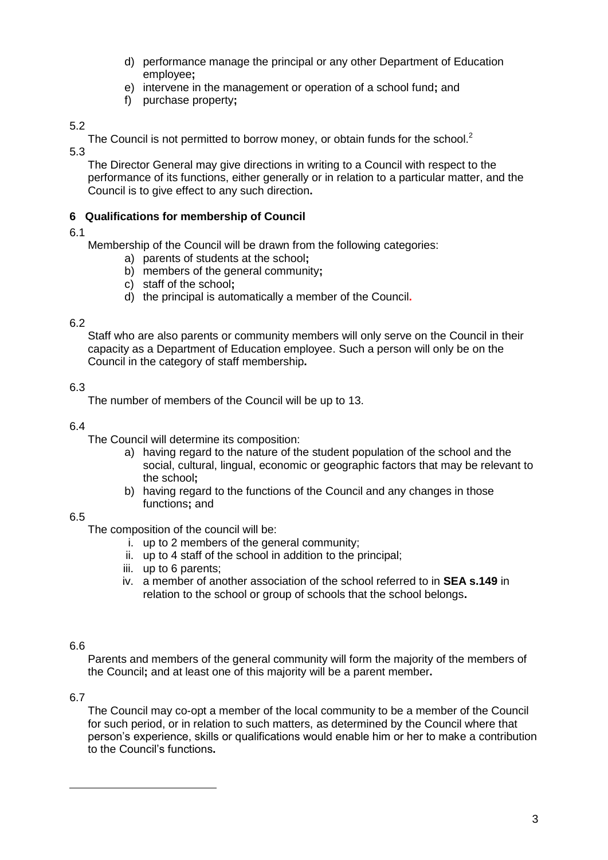- d) performance manage the principal or any other Department of Education employee**;**
- e) intervene in the management or operation of a school fund**;** and
- f) purchase property**;**

The Council is not permitted to borrow money, or obtain funds for the school.<sup>2</sup>

5.3

The Director General may give directions in writing to a Council with respect to the performance of its functions, either generally or in relation to a particular matter, and the Council is to give effect to any such direction**.**

# <span id="page-2-0"></span>**6 Qualifications for membership of Council**

6.1

Membership of the Council will be drawn from the following categories:

- a) parents of students at the school**;**
- b) members of the general community**;**
- c) staff of the school**;**
- d) the principal is automatically a member of the Council**.**

### 6.2

Staff who are also parents or community members will only serve on the Council in their capacity as a Department of Education employee. Such a person will only be on the Council in the category of staff membership**.**

# 6.3

The number of members of the Council will be up to 13.

#### 6.4

The Council will determine its composition:

- a) having regard to the nature of the student population of the school and the social, cultural, lingual, economic or geographic factors that may be relevant to the school**;**
- b) having regard to the functions of the Council and any changes in those functions**;** and

# 6.5

The composition of the council will be:

- i. up to 2 members of the general community;
- ii. up to 4 staff of the school in addition to the principal;
- iii. up to 6 parents;
- iv. a member of another association of the school referred to in **SEA s.149** in relation to the school or group of schools that the school belongs**.**

# 6.6

Parents and members of the general community will form the majority of the members of the Council**;** and at least one of this majority will be a parent member**.**

#### 6.7

The Council may co-opt a member of the local community to be a member of the Council for such period, or in relation to such matters, as determined by the Council where that person's experience, skills or qualifications would enable him or her to make a contribution to the Council's functions**.**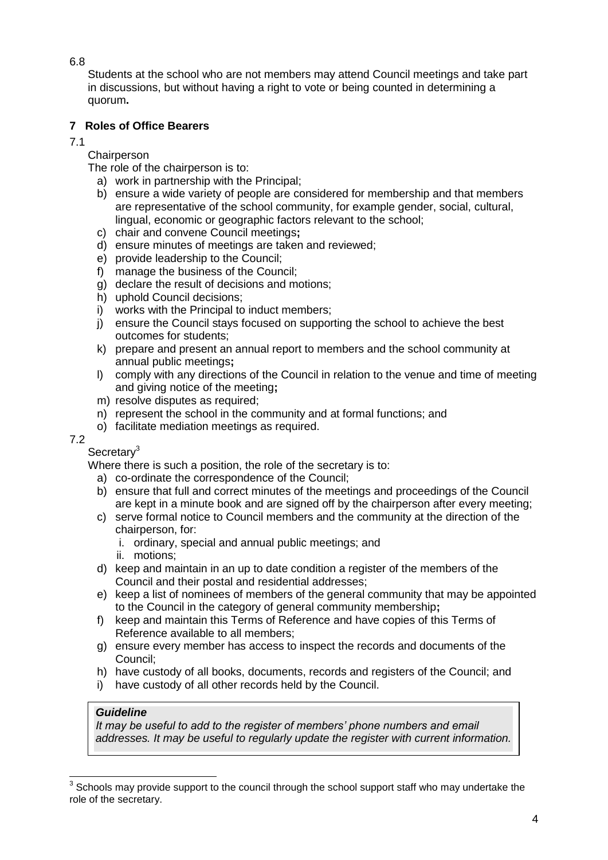Students at the school who are not members may attend Council meetings and take part in discussions, but without having a right to vote or being counted in determining a quorum**.**

# <span id="page-3-0"></span>**7 Roles of Office Bearers**

7.1

**Chairperson** 

The role of the chairperson is to:

- a) work in partnership with the Principal;
- b) ensure a wide variety of people are considered for membership and that members are representative of the school community, for example gender, social, cultural, lingual, economic or geographic factors relevant to the school;
- c) chair and convene Council meetings**;**
- d) ensure minutes of meetings are taken and reviewed;
- e) provide leadership to the Council;
- f) manage the business of the Council;
- g) declare the result of decisions and motions;
- h) uphold Council decisions;
- i) works with the Principal to induct members:
- j) ensure the Council stays focused on supporting the school to achieve the best outcomes for students;
- k) prepare and present an annual report to members and the school community at annual public meetings**;**
- l) comply with any directions of the Council in relation to the venue and time of meeting and giving notice of the meeting**;**
- m) resolve disputes as required;
- n) represent the school in the community and at formal functions; and
- o) facilitate mediation meetings as required.

# 7.2

Secretary<sup>3</sup>

Where there is such a position, the role of the secretary is to:

- a) co-ordinate the correspondence of the Council;
- b) ensure that full and correct minutes of the meetings and proceedings of the Council are kept in a minute book and are signed off by the chairperson after every meeting;
- c) serve formal notice to Council members and the community at the direction of the chairperson, for:
	- i. ordinary, special and annual public meetings; and
	- ii. motions;
- d) keep and maintain in an up to date condition a register of the members of the Council and their postal and residential addresses;
- e) keep a list of nominees of members of the general community that may be appointed to the Council in the category of general community membership**;**
- f) keep and maintain this Terms of Reference and have copies of this Terms of Reference available to all members;
- g) ensure every member has access to inspect the records and documents of the Council;
- h) have custody of all books, documents, records and registers of the Council; and
- i) have custody of all other records held by the Council.

# *Guideline*

*It may be useful to add to the register of members' phone numbers and email addresses. It may be useful to regularly update the register with current information.*

 3 Schools may provide support to the council through the school support staff who may undertake the role of the secretary.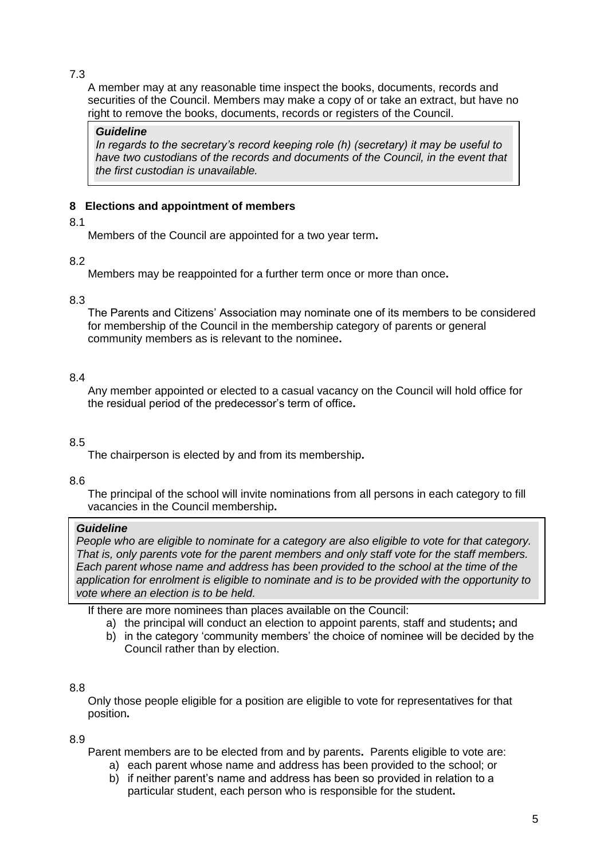A member may at any reasonable time inspect the books, documents, records and securities of the Council. Members may make a copy of or take an extract, but have no right to remove the books, documents, records or registers of the Council.

### *Guideline*

*In regards to the secretary's record keeping role (h) (secretary) it may be useful to have two custodians of the records and documents of the Council, in the event that the first custodian is unavailable.* 

# <span id="page-4-0"></span>**8 Elections and appointment of members**

### 8.1

Members of the Council are appointed for a two year term**.**

# 8.2

Members may be reappointed for a further term once or more than once**.** 

### 8.3

The Parents and Citizens' Association may nominate one of its members to be considered for membership of the Council in the membership category of parents or general community members as is relevant to the nominee**.**

# 8.4

Any member appointed or elected to a casual vacancy on the Council will hold office for the residual period of the predecessor's term of office**.**

# 8.5

The chairperson is elected by and from its membership**.**

# 8.6

The principal of the school will invite nominations from all persons in each category to fill vacancies in the Council membership**.**

# *Guideline*

8.7 *vote where an election is to be held. People who are eligible to nominate for a category are also eligible to vote for that category. That is, only parents vote for the parent members and only staff vote for the staff members. Each parent whose name and address has been provided to the school at the time of the application for enrolment is eligible to nominate and is to be provided with the opportunity to* 

If there are more nominees than places available on the Council:

- a) the principal will conduct an election to appoint parents, staff and students**;** and
- b) in the category 'community members' the choice of nominee will be decided by the Council rather than by election.

# 8.8

Only those people eligible for a position are eligible to vote for representatives for that position**.**

# 8.9

Parent members are to be elected from and by parents**.** Parents eligible to vote are:

- a) each parent whose name and address has been provided to the school; or
- b) if neither parent's name and address has been so provided in relation to a particular student, each person who is responsible for the student**.**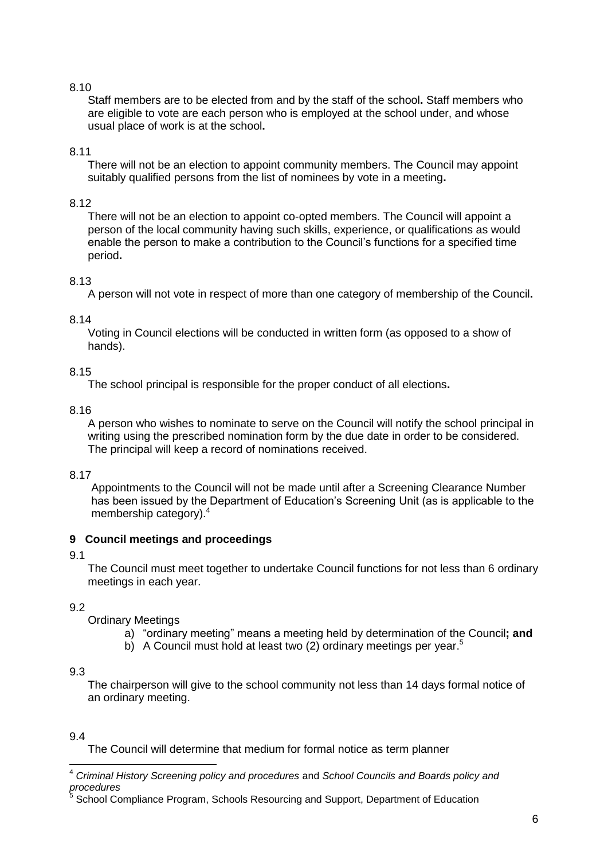Staff members are to be elected from and by the staff of the school**.** Staff members who are eligible to vote are each person who is employed at the school under, and whose usual place of work is at the school**.**

### 8.11

There will not be an election to appoint community members. The Council may appoint suitably qualified persons from the list of nominees by vote in a meeting**.**

### 8.12

There will not be an election to appoint co-opted members. The Council will appoint a person of the local community having such skills, experience, or qualifications as would enable the person to make a contribution to the Council's functions for a specified time period**.**

### 8.13

A person will not vote in respect of more than one category of membership of the Council**.** 

### 8.14

Voting in Council elections will be conducted in written form (as opposed to a show of hands).

### 8.15

The school principal is responsible for the proper conduct of all elections**.**

### 8.16

A person who wishes to nominate to serve on the Council will notify the school principal in writing using the prescribed nomination form by the due date in order to be considered. The principal will keep a record of nominations received.

#### 8.17

Appointments to the Council will not be made until after a Screening Clearance Number has been issued by the Department of Education's Screening Unit (as is applicable to the membership category).<sup>4</sup>

# <span id="page-5-0"></span>**9 Council meetings and proceedings**

# 9.1

The Council must meet together to undertake Council functions for not less than 6 ordinary meetings in each year.

# 9.2

Ordinary Meetings

- a) "ordinary meeting" means a meeting held by determination of the Council**; and**
- b) A Council must hold at least two (2) ordinary meetings per year.<sup>5</sup>

#### 9.3

The chairperson will give to the school community not less than 14 days formal notice of an ordinary meeting.

# 9.4

The Council will determine that medium for formal notice as term planner

 <sup>4</sup> *Criminal History Screening policy and procedures* and *School Councils and Boards policy and procedures* 5

School Compliance Program, Schools Resourcing and Support, Department of Education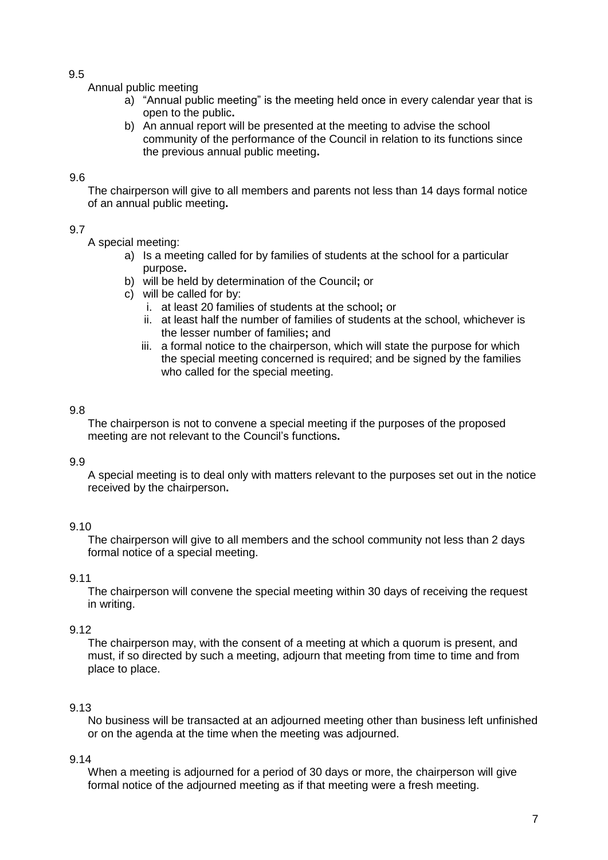Annual public meeting

- a) "Annual public meeting" is the meeting held once in every calendar year that is open to the public**.**
- b) An annual report will be presented at the meeting to advise the school community of the performance of the Council in relation to its functions since the previous annual public meeting**.**

### 9.6

The chairperson will give to all members and parents not less than 14 days formal notice of an annual public meeting**.**

### 9.7

A special meeting:

- a) Is a meeting called for by families of students at the school for a particular purpose**.**
- b) will be held by determination of the Council**;** or
- c) will be called for by:
	- i. at least 20 families of students at the school**;** or
	- ii. at least half the number of families of students at the school, whichever is the lesser number of families**;** and
	- iii. a formal notice to the chairperson, which will state the purpose for which the special meeting concerned is required; and be signed by the families who called for the special meeting.

### 9.8

The chairperson is not to convene a special meeting if the purposes of the proposed meeting are not relevant to the Council's functions**.**

#### 9.9

A special meeting is to deal only with matters relevant to the purposes set out in the notice received by the chairperson**.**

# 9.10

The chairperson will give to all members and the school community not less than 2 days formal notice of a special meeting.

### 9.11

The chairperson will convene the special meeting within 30 days of receiving the request in writing.

# 9.12

The chairperson may, with the consent of a meeting at which a quorum is present, and must, if so directed by such a meeting, adjourn that meeting from time to time and from place to place.

# 9.13

No business will be transacted at an adjourned meeting other than business left unfinished or on the agenda at the time when the meeting was adjourned.

#### 9.14

When a meeting is adjourned for a period of 30 days or more, the chairperson will give formal notice of the adjourned meeting as if that meeting were a fresh meeting.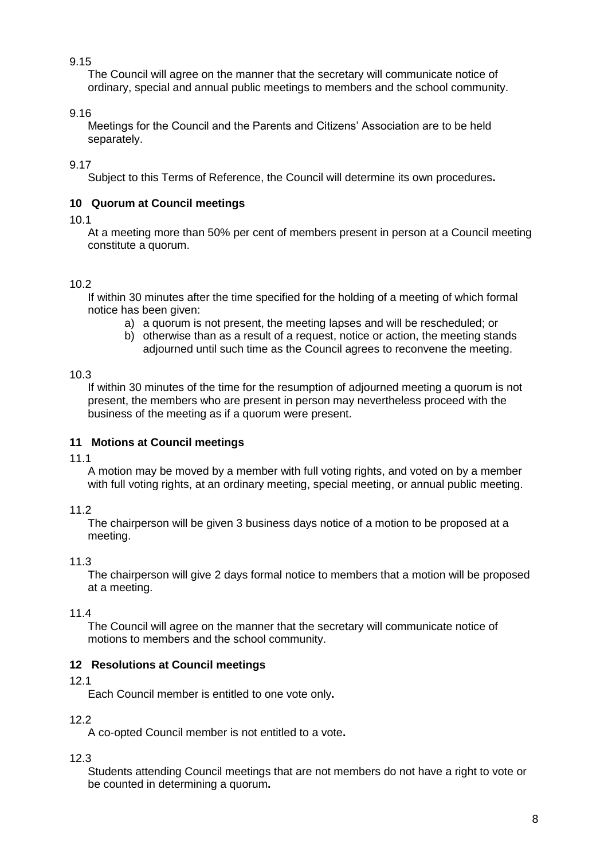The Council will agree on the manner that the secretary will communicate notice of ordinary, special and annual public meetings to members and the school community.

# 9.16

Meetings for the Council and the Parents and Citizens' Association are to be held separately.

# 9.17

Subject to this Terms of Reference, the Council will determine its own procedures**.** 

# <span id="page-7-0"></span>**10 Quorum at Council meetings**

# 10.1

At a meeting more than 50% per cent of members present in person at a Council meeting constitute a quorum.

# <span id="page-7-1"></span>10.2

If within 30 minutes after the time specified for the holding of a meeting of which formal notice has been given:

- a) a quorum is not present, the meeting lapses and will be rescheduled; or
- b) otherwise than as a result of a request, notice or action, the meeting stands adjourned until such time as the Council agrees to reconvene the meeting.

# 10.3

If within 30 minutes of the time for the resumption of adjourned meeting a quorum is not present, the members who are present in person may nevertheless proceed with the business of the meeting as if a quorum were present.

# **11 Motions at Council meetings**

# 11.1

A motion may be moved by a member with full voting rights, and voted on by a member with full voting rights, at an ordinary meeting, special meeting, or annual public meeting.

11.2

The chairperson will be given 3 business days notice of a motion to be proposed at a meeting.

# 11.3

The chairperson will give 2 days formal notice to members that a motion will be proposed at a meeting.

# 11.4

The Council will agree on the manner that the secretary will communicate notice of motions to members and the school community.

# <span id="page-7-2"></span>**12 Resolutions at Council meetings**

# 12.1

Each Council member is entitled to one vote only**.**

# 12.2

A co-opted Council member is not entitled to a vote**.**

# 12.3

Students attending Council meetings that are not members do not have a right to vote or be counted in determining a quorum**.**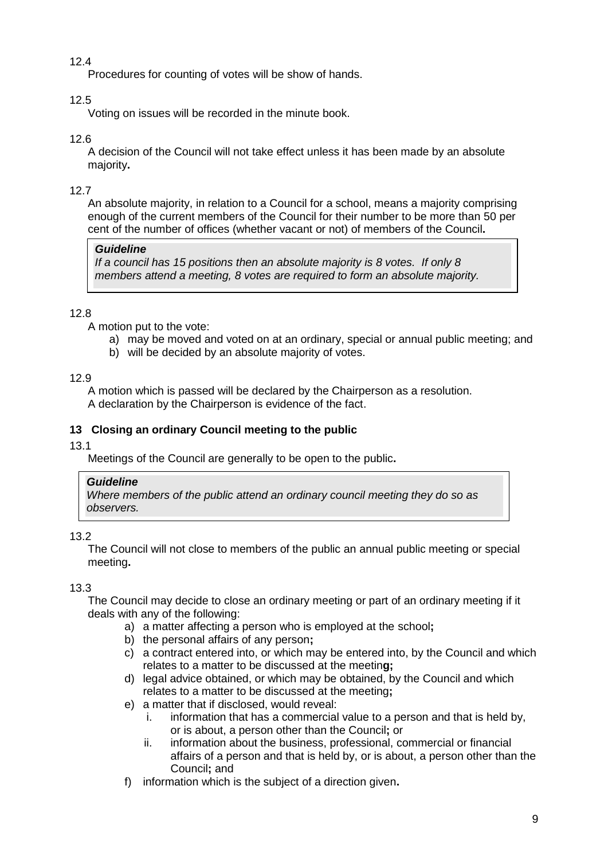Procedures for counting of votes will be show of hands.

# 12.5

Voting on issues will be recorded in the minute book.

# 12.6

A decision of the Council will not take effect unless it has been made by an absolute majority**.**

# 12.7

An absolute majority, in relation to a Council for a school, means a majority comprising enough of the current members of the Council for their number to be more than 50 per cent of the number of offices (whether vacant or not) of members of the Council**.**

# *Guideline*

*If a council has 15 positions then an absolute majority is 8 votes. If only 8 members attend a meeting, 8 votes are required to form an absolute majority.*

# 12.8

A motion put to the vote:

- a) may be moved and voted on at an ordinary, special or annual public meeting; and
- b) will be decided by an absolute majority of votes.

# 12.9

A motion which is passed will be declared by the Chairperson as a resolution. A declaration by the Chairperson is evidence of the fact.

# <span id="page-8-0"></span>**13 Closing an ordinary Council meeting to the public**

# 13.1

Meetings of the Council are generally to be open to the public**.**

# *Guideline*

*Where members of the public attend an ordinary council meeting they do so as observers.*

# 13.2

The Council will not close to members of the public an annual public meeting or special meeting**.**

# 13.3

The Council may decide to close an ordinary meeting or part of an ordinary meeting if it deals with any of the following:

- a) a matter affecting a person who is employed at the school**;**
- b) the personal affairs of any person**;**
- c) a contract entered into, or which may be entered into, by the Council and which relates to a matter to be discussed at the meetin**g;**
- d) legal advice obtained, or which may be obtained, by the Council and which relates to a matter to be discussed at the meeting**;**
- e) a matter that if disclosed, would reveal:
	- i. information that has a commercial value to a person and that is held by, or is about, a person other than the Council**;** or
	- ii. information about the business, professional, commercial or financial affairs of a person and that is held by, or is about, a person other than the Council**;** and
- f) information which is the subject of a direction given**.**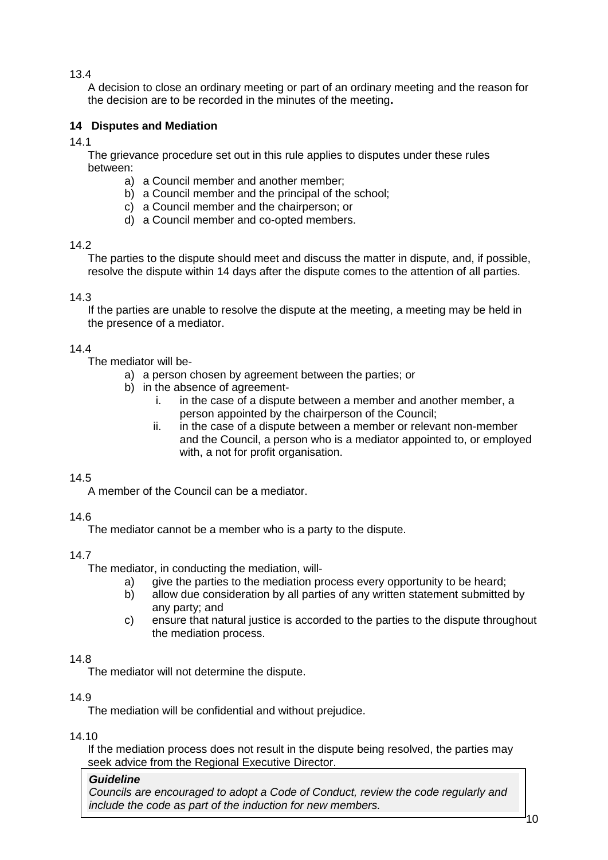A decision to close an ordinary meeting or part of an ordinary meeting and the reason for the decision are to be recorded in the minutes of the meeting**.**

# <span id="page-9-0"></span>**14 Disputes and Mediation**

14.1

The grievance procedure set out in this rule applies to disputes under these rules between:

- a) a Council member and another member;
- b) a Council member and the principal of the school;
- c) a Council member and the chairperson; or
- d) a Council member and co-opted members.

# 14.2

The parties to the dispute should meet and discuss the matter in dispute, and, if possible, resolve the dispute within 14 days after the dispute comes to the attention of all parties.

# 14.3

If the parties are unable to resolve the dispute at the meeting, a meeting may be held in the presence of a mediator.

# 14.4

The mediator will be-

- a) a person chosen by agreement between the parties; or
- b) in the absence of agreement
	- i. in the case of a dispute between a member and another member, a person appointed by the chairperson of the Council;
	- ii. in the case of a dispute between a member or relevant non-member and the Council, a person who is a mediator appointed to, or employed with, a not for profit organisation.

# 14.5

A member of the Council can be a mediator.

# 14.6

The mediator cannot be a member who is a party to the dispute.

# 14.7

The mediator, in conducting the mediation, will-

- a) give the parties to the mediation process every opportunity to be heard;
- b) allow due consideration by all parties of any written statement submitted by any party; and
- c) ensure that natural justice is accorded to the parties to the dispute throughout the mediation process.

# 14.8

The mediator will not determine the dispute.

# 14.9

The mediation will be confidential and without prejudice.

# 14.10

If the mediation process does not result in the dispute being resolved, the parties may seek advice from the Regional Executive Director.

# *Guideline*

*Councils are encouraged to adopt a Code of Conduct, review the code regularly and include the code as part of the induction for new members.*